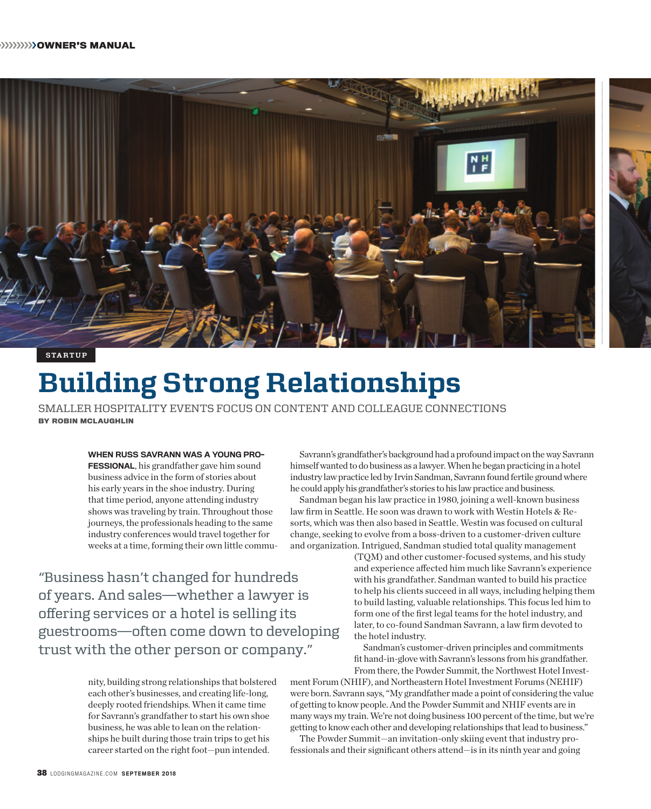

# **Building Strong Relationships**

SMALLER HOSPITALITY EVENTS FOCUS ON CONTENT AND COLLEAGUE CONNECTIONS **BY ROBIN MCLAUGHLIN** 

> WHEN RUSS SAVRANN WAS A YOUNG PRO-FESSIONAL, his grandfather gave him sound business advice in the form of stories about his early years in the shoe industry. During that time period, anyone attending industry shows was traveling by train. Throughout those journeys, the professionals heading to the same industry conferences would travel together for weeks at a time, forming their own little commu-

"Business hasn't changed for hundreds of years. And sales—whether a lawyer is offering services or a hotel is selling its guestrooms—often come down to developing trust with the other person or company."

> nity, building strong relationships that bolstered each other's businesses, and creating life-long, deeply rooted friendships. When it came time for Savrann's grandfather to start his own shoe business, he was able to lean on the relationships he built during those train trips to get his career started on the right foot—pun intended.

Savrann's grandfather's background had a profound impact on the way Savrann himself wanted to do business as a lawyer. When he began practicing in a hotel industry law practice led by Irvin Sandman, Savrann found fertile ground where he could apply his grandfather's stories to his law practice and business.

Sandman began his law practice in 1980, joining a well-known business law firm in Seattle. He soon was drawn to work with Westin Hotels & Resorts, which was then also based in Seattle. Westin was focused on cultural change, seeking to evolve from a boss-driven to a customer-driven culture and organization. Intrigued, Sandman studied total quality management

> (TQM) and other customer-focused systems, and his study and experience affected him much like Savrann's experience with his grandfather. Sandman wanted to build his practice to help his clients succeed in all ways, including helping them to build lasting, valuable relationships. This focus led him to form one of the first legal teams for the hotel industry, and later, to co-found Sandman Savrann, a law firm devoted to the hotel industry.

Sandman's customer-driven principles and commitments fit hand-in-glove with Savrann's lessons from his grandfather. From there, the Powder Summit, the Northwest Hotel Invest-

ment Forum (NHIF), and Northeastern Hotel Investment Forums (NEHIF) were born. Savrann says, "My grandfather made a point of considering the value of getting to know people. And the Powder Summit and NHIF events are in many ways my train. We're not doing business 100 percent of the time, but we're getting to know each other and developing relationships that lead to business."

The Powder Summit—an invitation-only skiing event that industry professionals and their significant others attend—is in its ninth year and going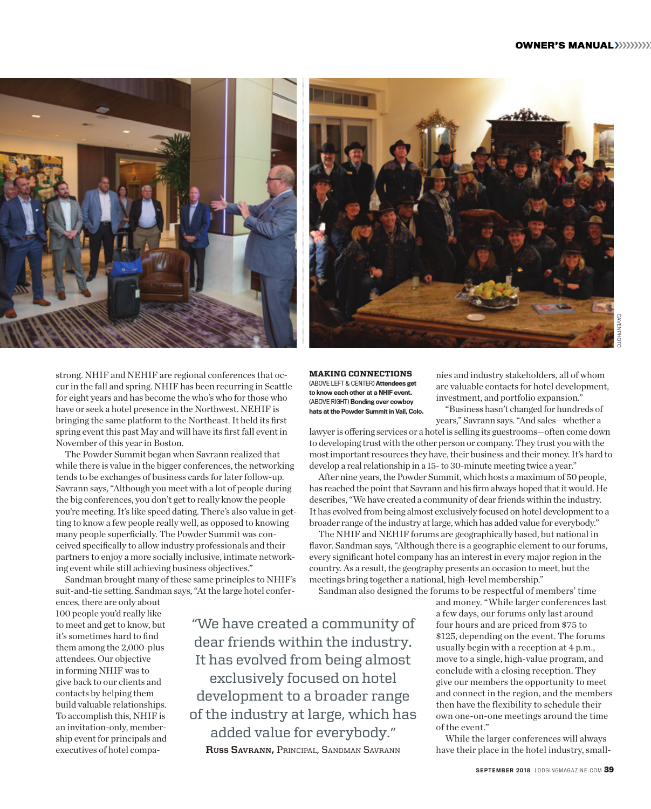

strong. NHIF and NEHIF are regional conferences that occur in the fall and spring. NHIF has been recurring in Seattle for eight years and has become the who's who for those who have or seek a hotel presence in the Northwest. NEHIF is bringing the same platform to the Northeast. It held its first spring event this past May and will have its first fall event in November of this year in Boston.

The Powder Summit began when Savrann realized that while there is value in the bigger conferences, the networking tends to be exchanges of business cards for later follow-up. Savrann says, "Although you meet with a lot of people during the big conferences, you don't get to really know the people you're meeting. It's like speed dating. There's also value in getting to know a few people really well, as opposed to knowing many people superficially. The Powder Summit was conceived specifically to allow industry professionals and their partners to enjoy a more socially inclusive, intimate networking event while still achieving business objectives."

Sandman brought many of these same principles to NHIF's suit-and-tie setting. Sandman says, "At the large hotel confer-

ences, there are only about 100 people you'd really like to meet and get to know, but it's sometimes hard to find them among the 2,000-plus attendees. Our objective in forming NHIF was to give back to our clients and contacts by helping them build valuable relationships. To accomplish this, NHIF is an invitation-only, membership event for principals and executives of hotel compa-



**MAKING CONNECTIONS** (ABOVE LEFT & CENTER) Attendees get to know each other at a NHIF event. (ABOVE RIGHT) Bonding over cowboy hats at the Powder Summit in Vail, Colo.

nies and industry stakeholders, all of whom are valuable contacts for hotel development, investment, and portfolio expansion."

"Business hasn't changed for hundreds of years," Savrann says. "And sales—whether a

lawyer is offering services or a hotel is selling its guestrooms—often come down to developing trust with the other person or company. They trust you with the most important resources they have, their business and their money. It's hard to develop a real relationship in a 15- to 30-minute meeting twice a year."

After nine years, the Powder Summit, which hosts a maximum of 50 people, has reached the point that Savrann and his firm always hoped that it would. He describes, "We have created a community of dear friends within the industry. It has evolved from being almost exclusively focused on hotel development to a broader range of the industry at large, which has added value for everybody."

The NHIF and NEHIF forums are geographically based, but national in flavor. Sandman says, "Although there is a geographic element to our forums, every significant hotel company has an interest in every major region in the country. As a result, the geography presents an occasion to meet, but the meetings bring together a national, high-level membership."

Sandman also designed the forums to be respectful of members' time

"We have created a community of dear friends within the industry. It has evolved from being almost exclusively focused on hotel development to a broader range of the industry at large, which has added value for everybody." **Russ Savrann,** Principal, Sandman Savrann

and money. "While larger conferences last a few days, our forums only last around four hours and are priced from \$75 to \$125, depending on the event. The forums usually begin with a reception at 4 p.m., move to a single, high-value program, and conclude with a closing reception. They give our members the opportunity to meet and connect in the region, and the members then have the flexibility to schedule their own one-on-one meetings around the time of the event."

While the larger conferences will always have their place in the hotel industry, small-